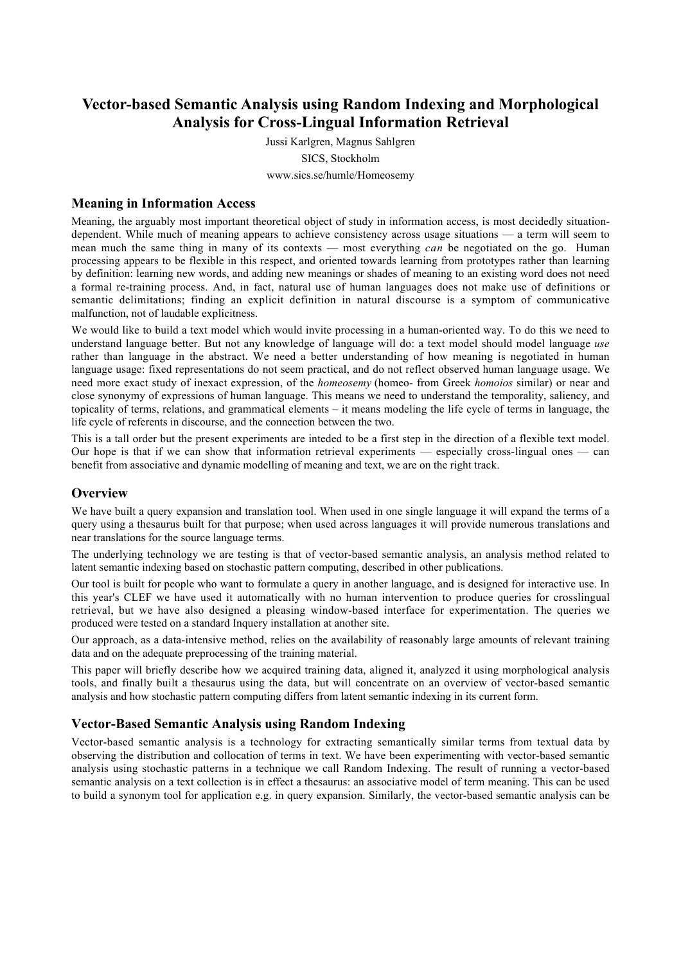# **Vector-based Semantic Analysis using Random Indexing and Morphological Analysis for Cross-Lingual Information Retrieval**

Jussi Karlgren, Magnus Sahlgren SICS, Stockholm www.sics.se/humle/Homeosemy

#### **Meaning in Information Access**

Meaning, the arguably most important theoretical object of study in information access, is most decidedly situationdependent. While much of meaning appears to achieve consistency across usage situations — a term will seem to mean much the same thing in many of its contexts — most everything *can* be negotiated on the go. Human processing appears to be flexible in this respect, and oriented towards learning from prototypes rather than learning by definition: learning new words, and adding new meanings or shades of meaning to an existing word does not need a formal re-training process. And, in fact, natural use of human languages does not make use of definitions or semantic delimitations; finding an explicit definition in natural discourse is a symptom of communicative malfunction, not of laudable explicitness.

We would like to build a text model which would invite processing in a human-oriented way. To do this we need to understand language better. But not any knowledge of language will do: a text model should model language *use* rather than language in the abstract. We need a better understanding of how meaning is negotiated in human language usage: fixed representations do not seem practical, and do not reflect observed human language usage. We need more exact study of inexact expression, of the *homeosemy* (homeo- from Greek *homoios* similar) or near and close synonymy of expressions of human language. This means we need to understand the temporality, saliency, and topicality of terms, relations, and grammatical elements – it means modeling the life cycle of terms in language, the life cycle of referents in discourse, and the connection between the two.

This is a tall order but the present experiments are inteded to be a first step in the direction of a flexible text model. Our hope is that if we can show that information retrieval experiments — especially cross-lingual ones — can benefit from associative and dynamic modelling of meaning and text, we are on the right track.

#### **Overview**

We have built a query expansion and translation tool. When used in one single language it will expand the terms of a query using a thesaurus built for that purpose; when used across languages it will provide numerous translations and near translations for the source language terms.

The underlying technology we are testing is that of vector-based semantic analysis, an analysis method related to latent semantic indexing based on stochastic pattern computing, described in other publications.

Our tool is built for people who want to formulate a query in another language, and is designed for interactive use. In this year's CLEF we have used it automatically with no human intervention to produce queries for crosslingual retrieval, but we have also designed a pleasing window-based interface for experimentation. The queries we produced were tested on a standard Inquery installation at another site.

Our approach, as a data-intensive method, relies on the availability of reasonably large amounts of relevant training data and on the adequate preprocessing of the training material.

This paper will briefly describe how we acquired training data, aligned it, analyzed it using morphological analysis tools, and finally built a thesaurus using the data, but will concentrate on an overview of vector-based semantic analysis and how stochastic pattern computing differs from latent semantic indexing in its current form.

## **Vector-Based Semantic Analysis using Random Indexing**

Vector-based semantic analysis is a technology for extracting semantically similar terms from textual data by observing the distribution and collocation of terms in text. We have been experimenting with vector-based semantic analysis using stochastic patterns in a technique we call Random Indexing. The result of running a vector-based semantic analysis on a text collection is in effect a thesaurus: an associative model of term meaning. This can be used to build a synonym tool for application e.g. in query expansion. Similarly, the vector-based semantic analysis can be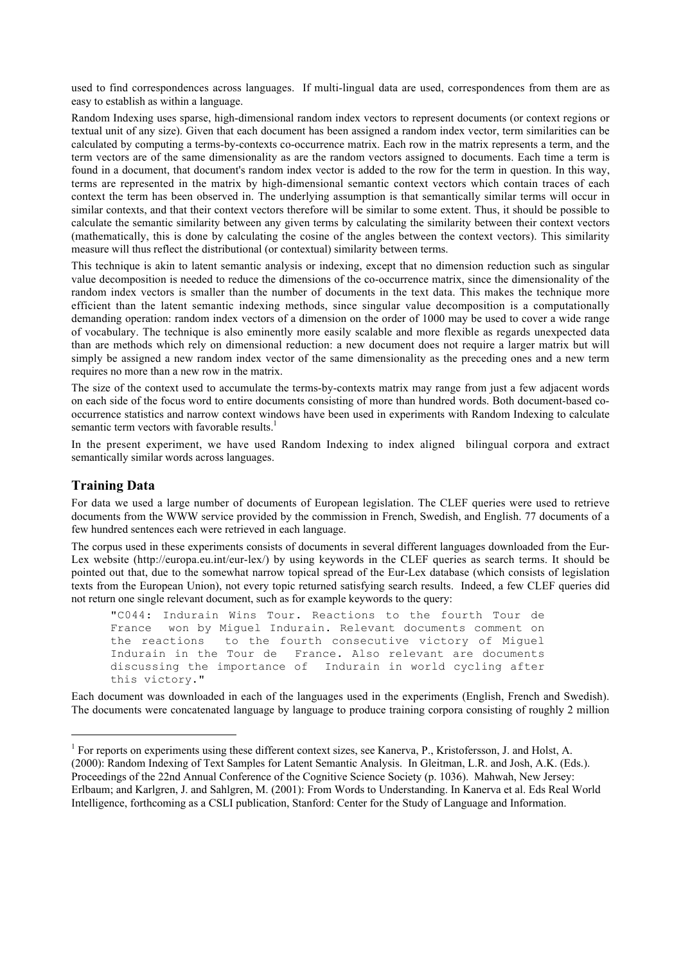used to find correspondences across languages. If multi-lingual data are used, correspondences from them are as easy to establish as within a language.

Random Indexing uses sparse, high-dimensional random index vectors to represent documents (or context regions or textual unit of any size). Given that each document has been assigned a random index vector, term similarities can be calculated by computing a terms-by-contexts co-occurrence matrix. Each row in the matrix represents a term, and the term vectors are of the same dimensionality as are the random vectors assigned to documents. Each time a term is found in a document, that document's random index vector is added to the row for the term in question. In this way, terms are represented in the matrix by high-dimensional semantic context vectors which contain traces of each context the term has been observed in. The underlying assumption is that semantically similar terms will occur in similar contexts, and that their context vectors therefore will be similar to some extent. Thus, it should be possible to calculate the semantic similarity between any given terms by calculating the similarity between their context vectors (mathematically, this is done by calculating the cosine of the angles between the context vectors). This similarity measure will thus reflect the distributional (or contextual) similarity between terms.

This technique is akin to latent semantic analysis or indexing, except that no dimension reduction such as singular value decomposition is needed to reduce the dimensions of the co-occurrence matrix, since the dimensionality of the random index vectors is smaller than the number of documents in the text data. This makes the technique more efficient than the latent semantic indexing methods, since singular value decomposition is a computationally demanding operation: random index vectors of a dimension on the order of 1000 may be used to cover a wide range of vocabulary. The technique is also eminently more easily scalable and more flexible as regards unexpected data than are methods which rely on dimensional reduction: a new document does not require a larger matrix but will simply be assigned a new random index vector of the same dimensionality as the preceding ones and a new term requires no more than a new row in the matrix.

The size of the context used to accumulate the terms-by-contexts matrix may range from just a few adjacent words on each side of the focus word to entire documents consisting of more than hundred words. Both document-based cooccurrence statistics and narrow context windows have been used in experiments with Random Indexing to calculate semantic term vectors with favorable results. $<sup>1</sup>$ </sup>

In the present experiment, we have used Random Indexing to index aligned bilingual corpora and extract semantically similar words across languages.

#### **Training Data**

 $\overline{a}$ 

For data we used a large number of documents of European legislation. The CLEF queries were used to retrieve documents from the WWW service provided by the commission in French, Swedish, and English. 77 documents of a few hundred sentences each were retrieved in each language.

The corpus used in these experiments consists of documents in several different languages downloaded from the Eur-Lex website (http://europa.eu.int/eur-lex/) by using keywords in the CLEF queries as search terms. It should be pointed out that, due to the somewhat narrow topical spread of the Eur-Lex database (which consists of legislation texts from the European Union), not every topic returned satisfying search results. Indeed, a few CLEF queries did not return one single relevant document, such as for example keywords to the query:

"C044: Indurain Wins Tour. Reactions to the fourth Tour de France won by Miquel Indurain. Relevant documents comment on the reactions to the fourth consecutive victory of Miguel Indurain in the Tour de France. Also relevant are documents discussing the importance of Indurain in world cycling after this victory."

Each document was downloaded in each of the languages used in the experiments (English, French and Swedish). The documents were concatenated language by language to produce training corpora consisting of roughly 2 million

<sup>&</sup>lt;sup>1</sup> For reports on experiments using these different context sizes, see Kanerva, P., Kristofersson, J. and Holst, A. (2000): Random Indexing of Text Samples for Latent Semantic Analysis. In Gleitman, L.R. and Josh, A.K. (Eds.). Proceedings of the 22nd Annual Conference of the Cognitive Science Society (p. 1036). Mahwah, New Jersey: Erlbaum; and Karlgren, J. and Sahlgren, M. (2001): From Words to Understanding. In Kanerva et al. Eds Real World Intelligence, forthcoming as a CSLI publication, Stanford: Center for the Study of Language and Information.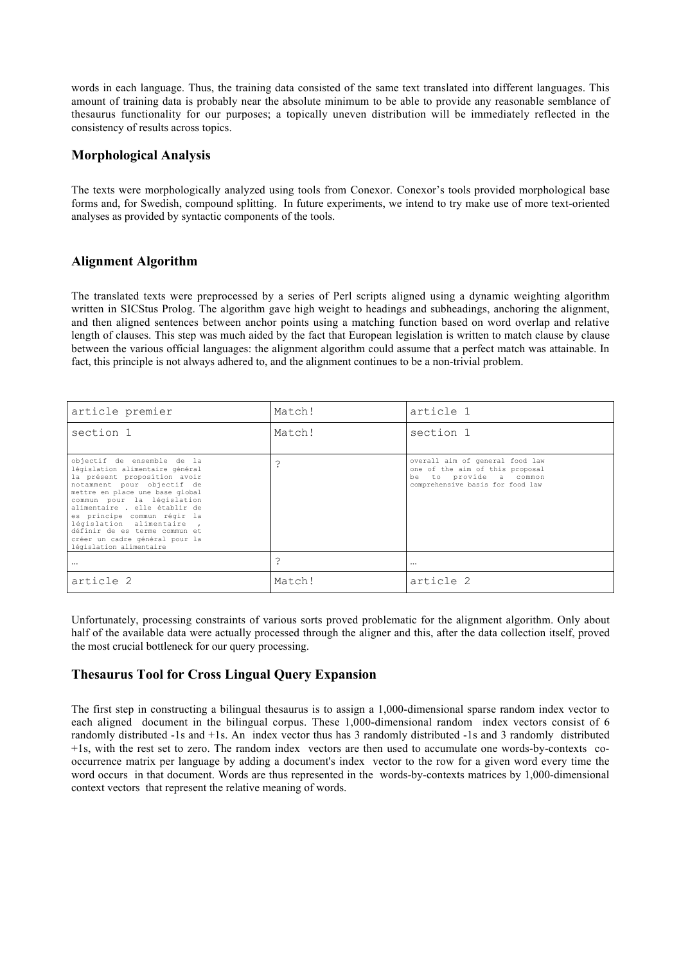words in each language. Thus, the training data consisted of the same text translated into different languages. This amount of training data is probably near the absolute minimum to be able to provide any reasonable semblance of thesaurus functionality for our purposes; a topically uneven distribution will be immediately reflected in the consistency of results across topics.

#### **Morphological Analysis**

The texts were morphologically analyzed using tools from Conexor. Conexor's tools provided morphological base forms and, for Swedish, compound splitting. In future experiments, we intend to try make use of more text-oriented analyses as provided by syntactic components of the tools.

## **Alignment Algorithm**

The translated texts were preprocessed by a series of Perl scripts aligned using a dynamic weighting algorithm written in SICStus Prolog. The algorithm gave high weight to headings and subheadings, anchoring the alignment, and then aligned sentences between anchor points using a matching function based on word overlap and relative length of clauses. This step was much aided by the fact that European legislation is written to match clause by clause between the various official languages: the alignment algorithm could assume that a perfect match was attainable. In fact, this principle is not always adhered to, and the alignment continues to be a non-trivial problem.

| article premier                                                                                                                                                                                                                                                                                                                                                                        | Match! | article 1                                                                                                                        |  |
|----------------------------------------------------------------------------------------------------------------------------------------------------------------------------------------------------------------------------------------------------------------------------------------------------------------------------------------------------------------------------------------|--------|----------------------------------------------------------------------------------------------------------------------------------|--|
| section 1                                                                                                                                                                                                                                                                                                                                                                              | Match! | section 1                                                                                                                        |  |
| objectif de ensemble de la<br>législation alimentaire général<br>la présent proposition avoir<br>notamment pour objectif de<br>mettre en place une base global<br>commun pour la législation<br>alimentaire . elle établir de<br>es principe commun régir la<br>législation alimentaire,<br>définir de es terme commun et<br>créer un cadre général pour la<br>législation alimentaire | ?      | overall aim of general food law<br>one of the aim of this proposal<br>be to provide a common<br>comprehensive basis for food law |  |
| $\cdots$                                                                                                                                                                                                                                                                                                                                                                               | ?      | $\cdots$                                                                                                                         |  |
| article 2                                                                                                                                                                                                                                                                                                                                                                              | Match! | article 2                                                                                                                        |  |

Unfortunately, processing constraints of various sorts proved problematic for the alignment algorithm. Only about half of the available data were actually processed through the aligner and this, after the data collection itself, proved the most crucial bottleneck for our query processing.

## **Thesaurus Tool for Cross Lingual Query Expansion**

The first step in constructing a bilingual thesaurus is to assign a 1,000-dimensional sparse random index vector to each aligned document in the bilingual corpus. These 1,000-dimensional random index vectors consist of 6 randomly distributed -1s and +1s. An index vector thus has 3 randomly distributed -1s and 3 randomly distributed +1s, with the rest set to zero. The random index vectors are then used to accumulate one words-by-contexts cooccurrence matrix per language by adding a document's index vector to the row for a given word every time the word occurs in that document. Words are thus represented in the words-by-contexts matrices by 1,000-dimensional context vectors that represent the relative meaning of words.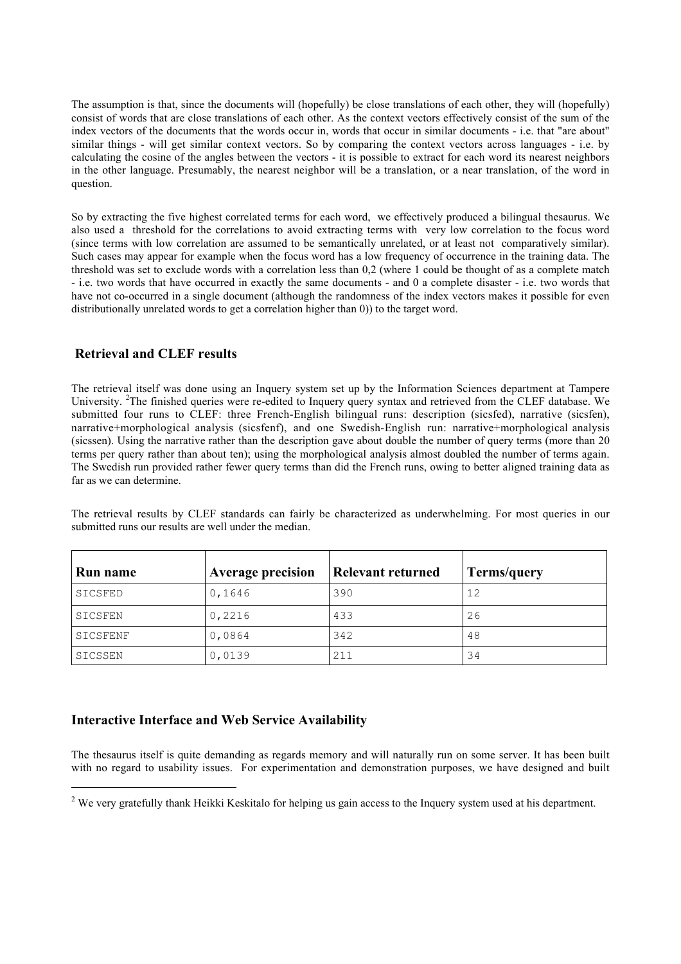The assumption is that, since the documents will (hopefully) be close translations of each other, they will (hopefully) consist of words that are close translations of each other. As the context vectors effectively consist of the sum of the index vectors of the documents that the words occur in, words that occur in similar documents - i.e. that "are about" similar things - will get similar context vectors. So by comparing the context vectors across languages - i.e. by calculating the cosine of the angles between the vectors - it is possible to extract for each word its nearest neighbors in the other language. Presumably, the nearest neighbor will be a translation, or a near translation, of the word in question.

So by extracting the five highest correlated terms for each word, we effectively produced a bilingual thesaurus. We also used a threshold for the correlations to avoid extracting terms with very low correlation to the focus word (since terms with low correlation are assumed to be semantically unrelated, or at least not comparatively similar). Such cases may appear for example when the focus word has a low frequency of occurrence in the training data. The threshold was set to exclude words with a correlation less than 0,2 (where 1 could be thought of as a complete match - i.e. two words that have occurred in exactly the same documents - and 0 a complete disaster - i.e. two words that have not co-occurred in a single document (although the randomness of the index vectors makes it possible for even distributionally unrelated words to get a correlation higher than 0)) to the target word.

#### **Retrieval and CLEF results**

The retrieval itself was done using an Inquery system set up by the Information Sciences department at Tampere University. <sup>2</sup>The finished queries were re-edited to Inquery query syntax and retrieved from the CLEF database. We submitted four runs to CLEF: three French-English bilingual runs: description (sicsfed), narrative (sicsfen), narrative+morphological analysis (sicsfenf), and one Swedish-English run: narrative+morphological analysis (sicssen). Using the narrative rather than the description gave about double the number of query terms (more than 20 terms per query rather than about ten); using the morphological analysis almost doubled the number of terms again. The Swedish run provided rather fewer query terms than did the French runs, owing to better aligned training data as far as we can determine.

The retrieval results by CLEF standards can fairly be characterized as underwhelming. For most queries in our submitted runs our results are well under the median.

| <b>Run name</b> | <b>Average precision</b> | <b>Relevant returned</b> | Terms/query |
|-----------------|--------------------------|--------------------------|-------------|
| SICSFED         | 0,1646                   | 390                      | 12          |
| SICSFEN         | 0,2216                   | 433                      | 26          |
| SICSFENF        | 0,0864                   | 342                      | 48          |
| SICSSEN         | 0,0139                   | 211                      | 34          |

## **Interactive Interface and Web Service Availability**

 $\overline{a}$ 

The thesaurus itself is quite demanding as regards memory and will naturally run on some server. It has been built with no regard to usability issues. For experimentation and demonstration purposes, we have designed and built

<sup>&</sup>lt;sup>2</sup> We very gratefully thank Heikki Keskitalo for helping us gain access to the Inquery system used at his department.